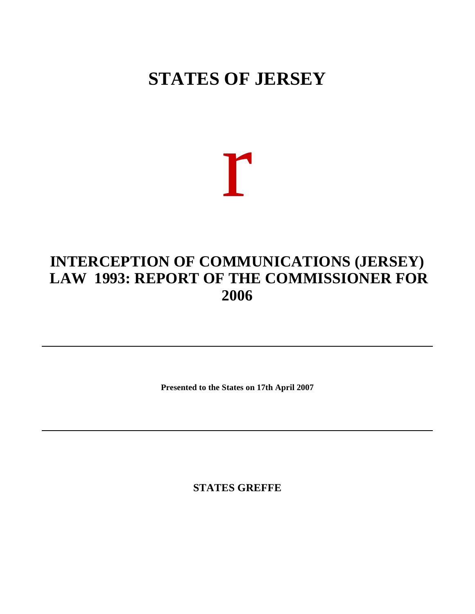## **STATES OF JERSEY**

## r

## **INTERCEPTION OF COMMUNICATIONS (JERSEY) LAW 1993: REPORT OF THE COMMISSIONER FOR 2006**

**Presented to the States on 17th April 2007**

**STATES GREFFE**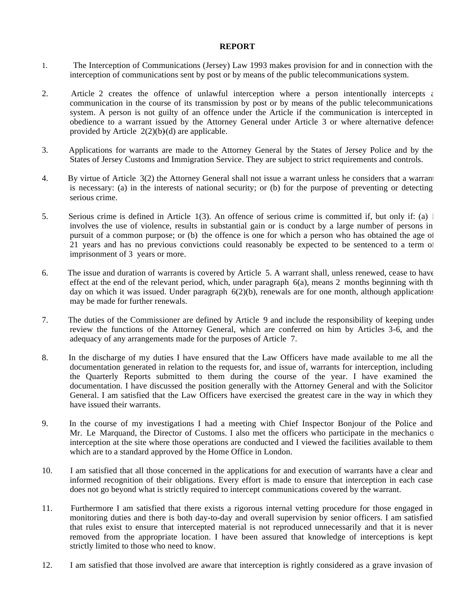## **REPORT**

- 1. The Interception of Communications (Jersey) Law 1993 makes provision for and in connection with the interception of communications sent by post or by means of the public telecommunications system.
- 2. Article 2 creates the offence of unlawful interception where a person intentionally intercepts  $\epsilon$ communication in the course of its transmission by post or by means of the public telecommunications system. A person is not guilty of an offence under the Article if the communication is intercepted in obedience to a warrant issued by the Attorney General under Article 3 or where alternative defences provided by Article  $2(2)(b)(d)$  are applicable.
- 3. Applications for warrants are made to the Attorney General by the States of Jersey Police and by the States of Jersey Customs and Immigration Service. They are subject to strict requirements and controls.
- 4. By virtue of Article 3(2) the Attorney General shall not issue a warrant unless he considers that a warrant is necessary: (a) in the interests of national security; or (b) for the purpose of preventing or detecting serious crime.
- 5. Serious crime is defined in Article  $1(3)$ . An offence of serious crime is committed if, but only if: (a) i involves the use of violence, results in substantial gain or is conduct by a large number of persons in pursuit of a common purpose; or (b) the offence is one for which a person who has obtained the age of 21 years and has no previous convictions could reasonably be expected to be sentenced to a term of imprisonment of 3 years or more.
- 6. The issue and duration of warrants is covered by Article 5. A warrant shall, unless renewed, cease to have effect at the end of the relevant period, which, under paragraph  $6(a)$ , means 2 months beginning with the day on which it was issued. Under paragraph  $6(2)(b)$ , renewals are for one month, although applications may be made for further renewals.
- 7. The duties of the Commissioner are defined by Article 9 and include the responsibility of keeping under review the functions of the Attorney General, which are conferred on him by Articles 3-6, and the adequacy of any arrangements made for the purposes of Article 7.
- 8. In the discharge of my duties I have ensured that the Law Officers have made available to me all the documentation generated in relation to the requests for, and issue of, warrants for interception, including the Quarterly Reports submitted to them during the course of the year. I have examined the documentation. I have discussed the position generally with the Attorney General and with the Solicitor General. I am satisfied that the Law Officers have exercised the greatest care in the way in which they have issued their warrants.
- 9. In the course of my investigations I had a meeting with Chief Inspector Bonjour of the Police and Mr. Le Marquand, the Director of Customs. I also met the officers who participate in the mechanics of interception at the site where those operations are conducted and I viewed the facilities available to them which are to a standard approved by the Home Office in London.
- 10. I am satisfied that all those concerned in the applications for and execution of warrants have a clear and informed recognition of their obligations. Every effort is made to ensure that interception in each case does not go beyond what is strictly required to intercept communications covered by the warrant.
- 11. Furthermore I am satisfied that there exists a rigorous internal vetting procedure for those engaged in monitoring duties and there is both day-to-day and overall supervision by senior officers. I am satisfied that rules exist to ensure that intercepted material is not reproduced unnecessarily and that it is never removed from the appropriate location. I have been assured that knowledge of interceptions is kept strictly limited to those who need to know.
- 12. I am satisfied that those involved are aware that interception is rightly considered as a grave invasion of